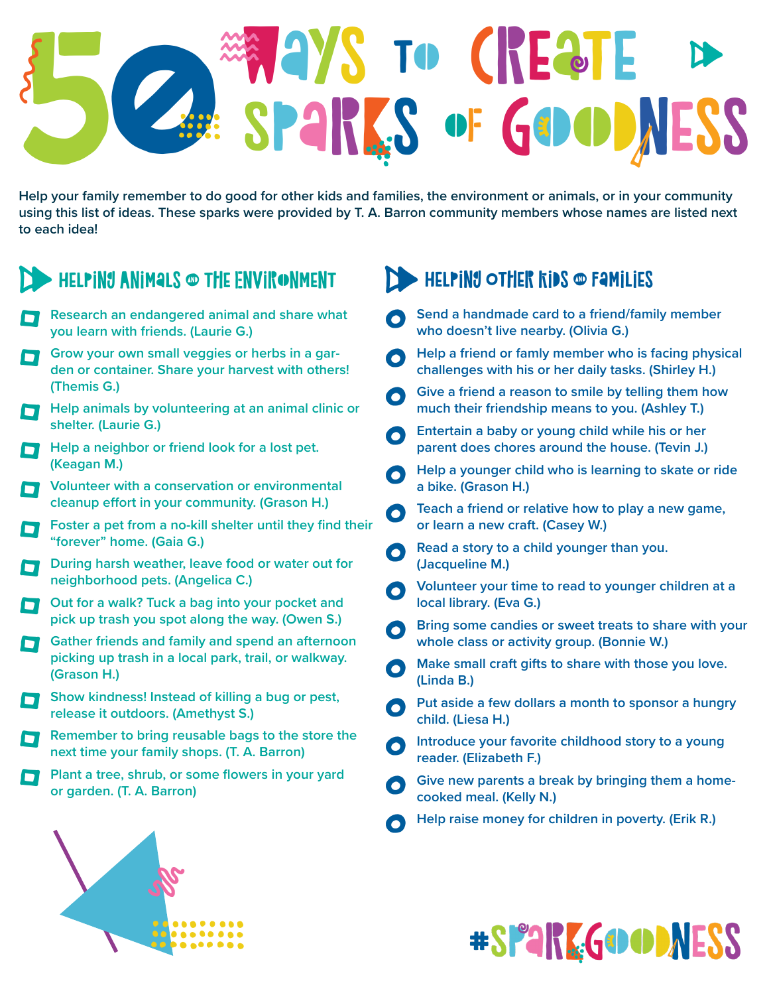## GoodNESS **WAYS TO CREATE** Felp your family remember to do **C**<br>S **enge AMA** i SPARKS of GOOD of

**Help your family remember to do good for other kids and families, the environment or animals, or in your community using this list of ideas. These sparks were provided by T. A. Barron community members whose names are listed next to each idea!**